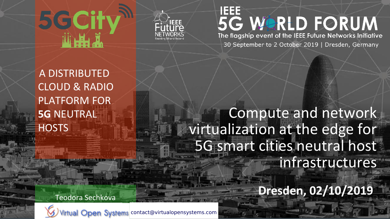



#### <u>IEEE</u> 5G WORLD FORUM The flagship event of the IEEE Future Networks Initiative

30 September to 2 October 2019 | Dresden, Germany

A DISTRIBUTED CLOUD & RADIO PLATFORM FOR **5G** NEUTRAL **HOSTS** 

Teodora Sechkova

Compute and network virtualization at the edge for 5G smart cities neutral host infrastructures

**Dresden, 02/10/2019**



**2020 Ochober 2020 Computer 2020** Contract Contract over the edge 100 october 2019 Computer and network of edge 1  $\sum_{i=1}^{n}$ contact@virtualopensystems.com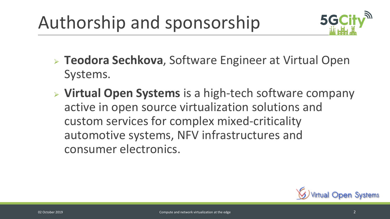## Authorship and sponsorship



- ⮚ **Teodora Sechkova**, Software Engineer at Virtual Open Systems.
- ⮚ **Virtual Open Systems** is a high-tech software company active in open source virtualization solutions and custom services for complex mixed-criticality automotive systems, NFV infrastructures and consumer electronics.

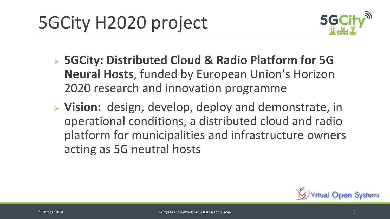

- ⮚ **5GCity: Distributed Cloud & Radio Platform for 5G Neural Hosts**, funded by European Union's Horizon 2020 research and innovation programme
- ⮚ **Vision:** design, develop, deploy and demonstrate, in operational conditions, a distributed cloud and radio platform for municipalities and infrastructure owners acting as 5G neutral hosts

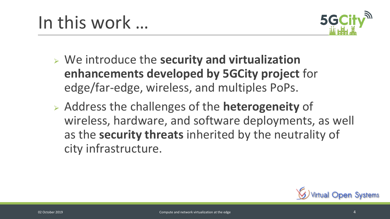

- ⮚ We introduce the **security and virtualization enhancements developed by 5GCity project** for edge/far-edge, wireless, and multiples PoPs.
- ⮚ Address the challenges of the **heterogeneity** of wireless, hardware, and software deployments, as well as the **security threats** inherited by the neutrality of city infrastructure.

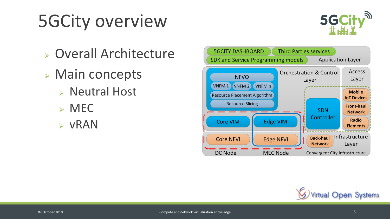# 5GCity overview



- ⮚ Overall Architecture
- ⮚ Main concepts
	- ⮚ Neutral Host
	- $>$  MEC
	- ➢ vRAN



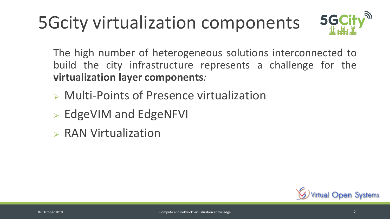## 5Gcity virtualization components



The high number of heterogeneous solutions interconnected to build the city infrastructure represents a challenge for the **virtualization layer components***:*

- ⮚ Multi-Points of Presence virtualization
- ⮚ EdgeVIM and EdgeNFVI
- $\triangleright$  RAN Virtualization

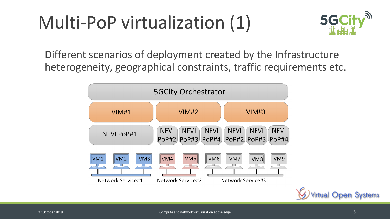## Multi-PoP virtualization (1)



Different scenarios of deployment created by the Infrastructure heterogeneity, geographical constraints, traffic requirements etc.



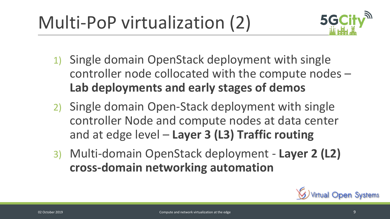Multi-PoP virtualization (2)



- 1) Single domain OpenStack deployment with single controller node collocated with the compute nodes – **Lab deployments and early stages of demos**
- 2) Single domain Open-Stack deployment with single controller Node and compute nodes at data center and at edge level – **Layer 3 (L3) Traffic routing**
- 3) Multi-domain OpenStack deployment **Layer 2 (L2) cross-domain networking automation**

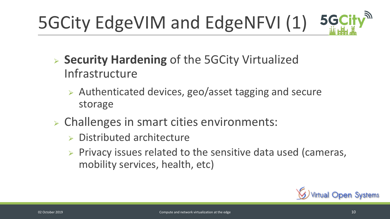#### 5GCity<sup>30</sup> 5GCity EdgeVIM and EdgeNFVI (1)

- ⮚ **Security Hardening** of the 5GCity Virtualized Infrastructure
	- ⮚ Authenticated devices, geo/asset tagging and secure storage
- ⮚ Challenges in smart cities environments:
	- $\triangleright$  Distributed architecture
	- $\triangleright$  Privacy issues related to the sensitive data used (cameras, mobility services, health, etc)

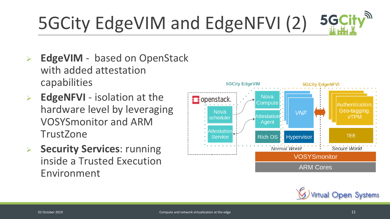#### 5GCity<sup>30</sup> 5GCity EdgeVIM and EdgeNFVI (2)

- **EdgeVIM** based on OpenStack with added attestation capabilities
- ➢ **EdgeNFVI** isolation at the hardware level by leveraging VOSYSmonitor and ARM **TrustZone**
- ➢ **Security Services**: running inside a Trusted Execution Environment



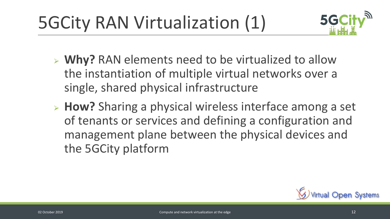5GCity RAN Virtualization (1)



- ⮚ **Why?** RAN elements need to be virtualized to allow the instantiation of multiple virtual networks over a single, shared physical infrastructure
- ⮚ **How?** Sharing a physical wireless interface among a set of tenants or services and defining a configuration and management plane between the physical devices and the 5GCity platform

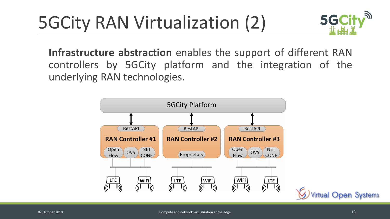### 5GCity RAN Virtualization (2)



**Infrastructure abstraction** enables the support of different RAN controllers by 5GCity platform and the integration of the underlying RAN technologies.